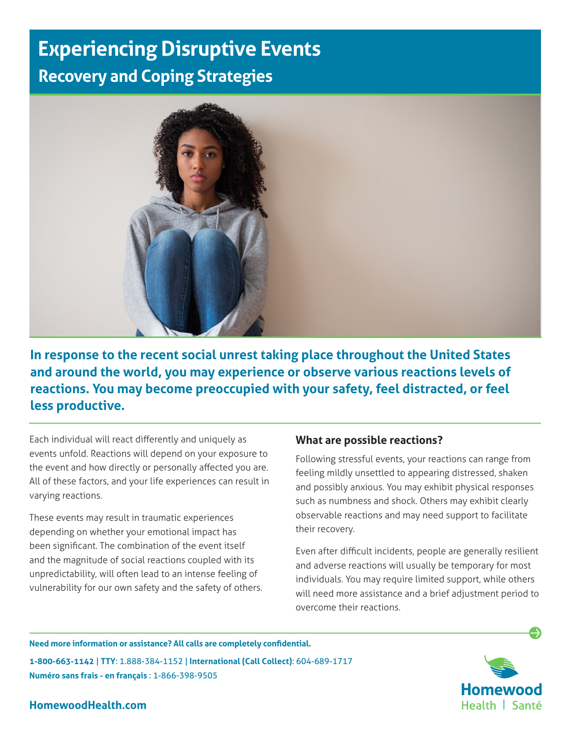# **Experiencing Disruptive Events Recovery and Coping Strategies**



**In response to the recent social unrest taking place throughout the United States and around the world, you may experience or observe various reactions levels of reactions. You may become preoccupied with your safety, feel distracted, or feel less productive.**

Each individual will react differently and uniquely as events unfold. Reactions will depend on your exposure to the event and how directly or personally affected you are. All of these factors, and your life experiences can result in varying reactions.

These events may result in traumatic experiences depending on whether your emotional impact has been significant. The combination of the event itself and the magnitude of social reactions coupled with its unpredictability, will often lead to an intense feeling of vulnerability for our own safety and the safety of others.

### **What are possible reactions?**

Following stressful events, your reactions can range from feeling mildly unsettled to appearing distressed, shaken and possibly anxious. You may exhibit physical responses such as numbness and shock. Others may exhibit clearly observable reactions and may need support to facilitate their recovery.

Even after difficult incidents, people are generally resilient and adverse reactions will usually be temporary for most individuals. You may require limited support, while others will need more assistance and a brief adjustment period to overcome their reactions.

**Need more information or assistance? All calls are completely confidential.**

**1-800-663-1142** | **TTY**: 1.888-384-1152 | **International (Call Collect)**: 604-689-1717 **Numéro sans frais - en français** : 1-866-398-9505



**HomewoodHealth.com**